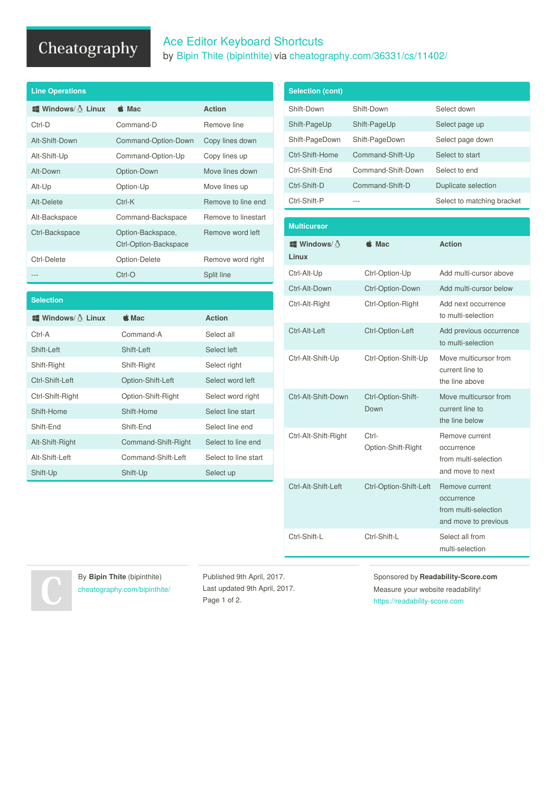# Cheatography

## Ace Editor Keyboard Shortcuts by Bipin Thite [\(bipinthite\)](http://www.cheatography.com/bipinthite/) via [cheatography.com/36331/cs/11402/](http://www.cheatography.com/bipinthite/cheat-sheets/ace-editor)

| <b>Line Operations</b>                |                                            |                     |  |
|---------------------------------------|--------------------------------------------|---------------------|--|
| $\blacksquare$ Windows/ $\land$ Linux | $\triangle$ Mac                            | <b>Action</b>       |  |
| Ctrl-D                                | Command-D                                  | Remove line         |  |
| Alt-Shift-Down                        | Command-Option-Down                        | Copy lines down     |  |
| Alt-Shift-Up                          | Command-Option-Up                          | Copy lines up       |  |
| Alt-Down                              | Option-Down                                | Move lines down     |  |
| Alt-Up                                | Option-Up                                  | Move lines up       |  |
| Alt-Delete                            | $Ctrl-K$                                   | Remove to line end  |  |
| Alt-Backspace                         | Command-Backspace                          | Remove to linestart |  |
| Ctrl-Backspace                        | Option-Backspace,<br>Ctrl-Option-Backspace | Remove word left    |  |
| Ctrl-Delete                           | Option-Delete                              | Remove word right   |  |
| ---                                   | $Ctrl-O$                                   | Split line          |  |

| <b>Selection</b>                      |                     |                      |
|---------------------------------------|---------------------|----------------------|
| $\blacksquare$ Windows/ $\land$ Linux | $\triangle$ Mac     | <b>Action</b>        |
| Ctrl-A                                | Command-A           | Select all           |
| Shift-Left                            | Shift-Left          | Select left          |
| Shift-Right                           | Shift-Right         | Select right         |
| Ctrl-Shift-Left                       | Option-Shift-Left   | Select word left     |
| Ctrl-Shift-Right                      | Option-Shift-Right  | Select word right    |
| Shift-Home                            | Shift-Home          | Select line start    |
| Shift-End                             | Shift-End           | Select line end      |
| Alt-Shift-Right                       | Command-Shift-Right | Select to line end   |
| Alt-Shift-Left                        | Command-Shift-Left  | Select to line start |
| Shift-Up                              | Shift-Up            | Select up            |

| <b>Selection (cont)</b>       |                             |                                                                              |
|-------------------------------|-----------------------------|------------------------------------------------------------------------------|
| Shift-Down                    | Shift-Down                  | Select down                                                                  |
| Shift-PageUp                  | Shift-PageUp                | Select page up                                                               |
| Shift-PageDown                | Shift-PageDown              | Select page down                                                             |
| Ctrl-Shift-Home               | Command-Shift-Up            | Select to start                                                              |
| Ctrl-Shift-End                | Command-Shift-Down          | Select to end                                                                |
| Ctrl-Shift-D                  | Command-Shift-D             | Duplicate selection                                                          |
| Ctrl-Shift-P                  |                             | Select to matching bracket                                                   |
|                               |                             |                                                                              |
| <b>Multicursor</b>            |                             |                                                                              |
| <b>ਵਿ</b> Windows/ ੈ<br>Linux | $\triangle$ Mac             | <b>Action</b>                                                                |
| Ctrl-Alt-Up                   | Ctrl-Option-Up              | Add multi-cursor above                                                       |
| Ctrl-Alt-Down                 | Ctrl-Option-Down            | Add multi-cursor below                                                       |
| Ctrl-Alt-Right                | Ctrl-Option-Right           | Add next occurrence<br>to multi-selection                                    |
| Ctrl-Alt-Left                 | Ctrl-Option-Left            | Add previous occurrence<br>to multi-selection                                |
| Ctrl-Alt-Shift-Up             | Ctrl-Option-Shift-Up        | Move multicursor from<br>current line to<br>the line above                   |
| Ctrl-Alt-Shift-Down           | Ctrl-Option-Shift-<br>Down  | Move multicursor from<br>current line to<br>the line below                   |
| Ctrl-Alt-Shift-Right          | Ctrl-<br>Option-Shift-Right | Remove current<br>occurrence<br>from multi-selection<br>and move to next     |
| Ctrl-Alt-Shift-Left           | Ctrl-Option-Shift-Left      | Remove current<br>occurrence<br>from multi-selection<br>and move to previous |
| Ctrl-Shift-L                  | Ctrl-Shift-L                | Select all from<br>multi-selection                                           |

By **Bipin Thite** (bipinthite) [cheatography.com/bipinthite/](http://www.cheatography.com/bipinthite/)

Published 9th April, 2017. Last updated 9th April, 2017. Page 1 of 2.

Sponsored by **Readability-Score.com**

Measure your website readability! <https://readability-score.com>